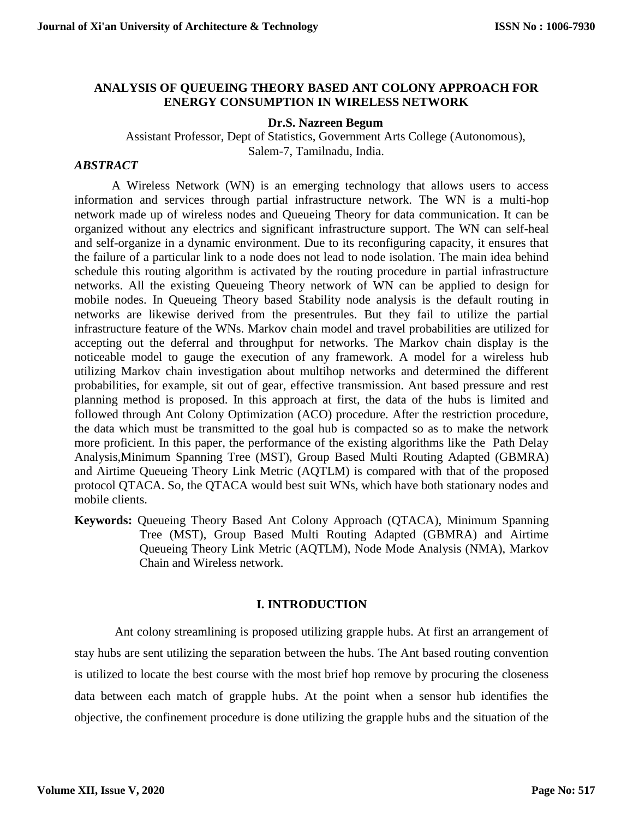## **ANALYSIS OF QUEUEING THEORY BASED ANT COLONY APPROACH FOR ENERGY CONSUMPTION IN WIRELESS NETWORK**

### **Dr.S. Nazreen Begum**

Assistant Professor, Dept of Statistics, Government Arts College (Autonomous), Salem-7, Tamilnadu, India.

### *ABSTRACT*

A Wireless Network (WN) is an emerging technology that allows users to access information and services through partial infrastructure network. The WN is a multi-hop network made up of wireless nodes and Queueing Theory for data communication. It can be organized without any electrics and significant infrastructure support. The WN can self-heal and self-organize in a dynamic environment. Due to its reconfiguring capacity, it ensures that the failure of a particular link to a node does not lead to node isolation. The main idea behind schedule this routing algorithm is activated by the routing procedure in partial infrastructure networks. All the existing Queueing Theory network of WN can be applied to design for mobile nodes. In Queueing Theory based Stability node analysis is the default routing in networks are likewise derived from the presentrules. But they fail to utilize the partial infrastructure feature of the WNs. Markov chain model and travel probabilities are utilized for accepting out the deferral and throughput for networks. The Markov chain display is the noticeable model to gauge the execution of any framework. A model for a wireless hub utilizing Markov chain investigation about multihop networks and determined the different probabilities, for example, sit out of gear, effective transmission. Ant based pressure and rest planning method is proposed. In this approach at first, the data of the hubs is limited and followed through Ant Colony Optimization (ACO) procedure. After the restriction procedure, the data which must be transmitted to the goal hub is compacted so as to make the network more proficient. In this paper, the performance of the existing algorithms like the Path Delay Analysis,Minimum Spanning Tree (MST), Group Based Multi Routing Adapted (GBMRA) and Airtime Queueing Theory Link Metric (AQTLM) is compared with that of the proposed protocol QTACA. So, the QTACA would best suit WNs, which have both stationary nodes and mobile clients.

**Keywords:** Queueing Theory Based Ant Colony Approach (QTACA), Minimum Spanning Tree (MST), Group Based Multi Routing Adapted (GBMRA) and Airtime Queueing Theory Link Metric (AQTLM), Node Mode Analysis (NMA), Markov Chain and Wireless network.

### **I. INTRODUCTION**

Ant colony streamlining is proposed utilizing grapple hubs. At first an arrangement of stay hubs are sent utilizing the separation between the hubs. The Ant based routing convention is utilized to locate the best course with the most brief hop remove by procuring the closeness data between each match of grapple hubs. At the point when a sensor hub identifies the objective, the confinement procedure is done utilizing the grapple hubs and the situation of the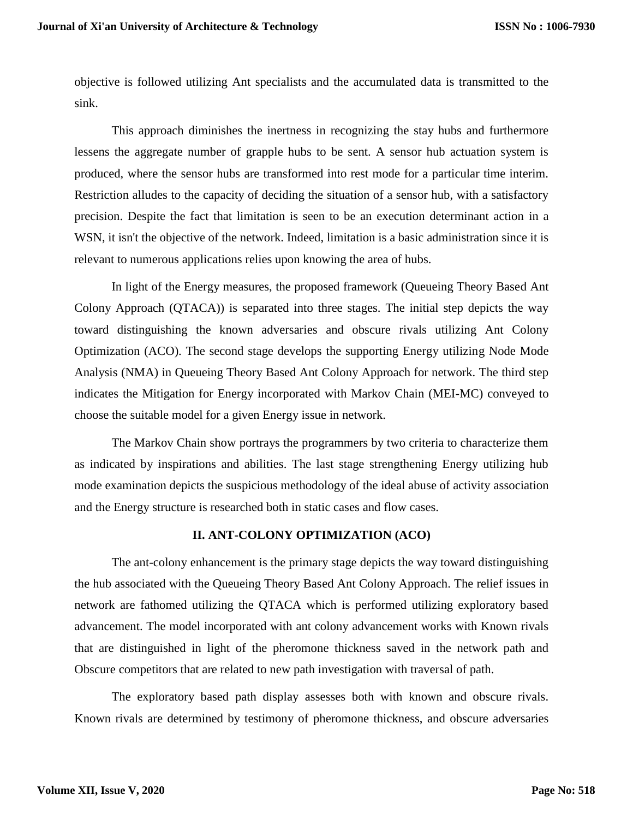objective is followed utilizing Ant specialists and the accumulated data is transmitted to the sink.

This approach diminishes the inertness in recognizing the stay hubs and furthermore lessens the aggregate number of grapple hubs to be sent. A sensor hub actuation system is produced, where the sensor hubs are transformed into rest mode for a particular time interim. Restriction alludes to the capacity of deciding the situation of a sensor hub, with a satisfactory precision. Despite the fact that limitation is seen to be an execution determinant action in a WSN, it isn't the objective of the network. Indeed, limitation is a basic administration since it is relevant to numerous applications relies upon knowing the area of hubs.

In light of the Energy measures, the proposed framework (Queueing Theory Based Ant Colony Approach (QTACA)) is separated into three stages. The initial step depicts the way toward distinguishing the known adversaries and obscure rivals utilizing Ant Colony Optimization (ACO). The second stage develops the supporting Energy utilizing Node Mode Analysis (NMA) in Queueing Theory Based Ant Colony Approach for network. The third step indicates the Mitigation for Energy incorporated with Markov Chain (MEI-MC) conveyed to choose the suitable model for a given Energy issue in network.

The Markov Chain show portrays the programmers by two criteria to characterize them as indicated by inspirations and abilities. The last stage strengthening Energy utilizing hub mode examination depicts the suspicious methodology of the ideal abuse of activity association and the Energy structure is researched both in static cases and flow cases.

# **II. ANT-COLONY OPTIMIZATION (ACO)**

The ant-colony enhancement is the primary stage depicts the way toward distinguishing the hub associated with the Queueing Theory Based Ant Colony Approach. The relief issues in network are fathomed utilizing the QTACA which is performed utilizing exploratory based advancement. The model incorporated with ant colony advancement works with Known rivals that are distinguished in light of the pheromone thickness saved in the network path and Obscure competitors that are related to new path investigation with traversal of path.

The exploratory based path display assesses both with known and obscure rivals. Known rivals are determined by testimony of pheromone thickness, and obscure adversaries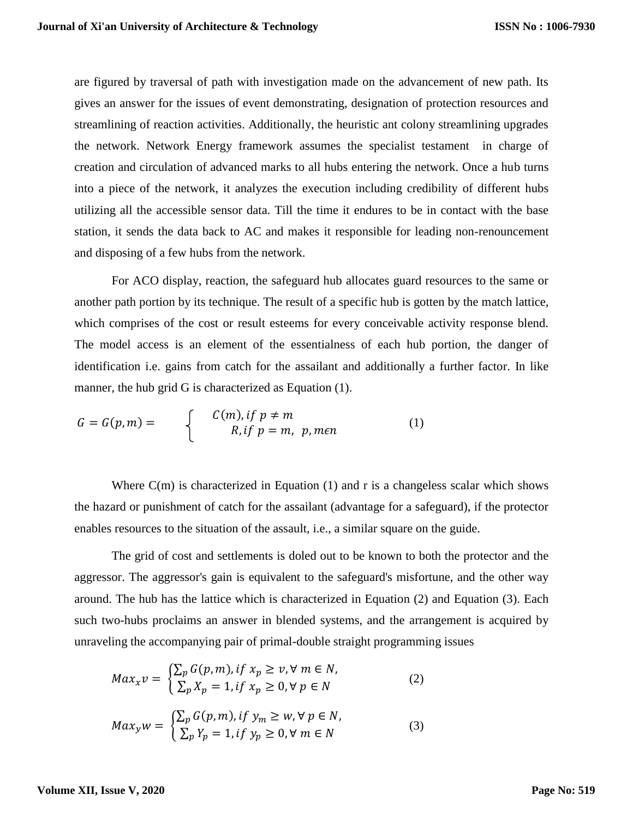are figured by traversal of path with investigation made on the advancement of new path. Its gives an answer for the issues of event demonstrating, designation of protection resources and streamlining of reaction activities. Additionally, the heuristic ant colony streamlining upgrades the network. Network Energy framework assumes the specialist testament in charge of creation and circulation of advanced marks to all hubs entering the network. Once a hub turns into a piece of the network, it analyzes the execution including credibility of different hubs utilizing all the accessible sensor data. Till the time it endures to be in contact with the base station, it sends the data back to AC and makes it responsible for leading non-renouncement and disposing of a few hubs from the network.

For ACO display, reaction, the safeguard hub allocates guard resources to the same or another path portion by its technique. The result of a specific hub is gotten by the match lattice, which comprises of the cost or result esteems for every conceivable activity response blend. The model access is an element of the essentialness of each hub portion, the danger of identification i.e. gains from catch for the assailant and additionally a further factor. In like manner, the hub grid G is characterized as Equation (1).

$$
G = G(p, m) = \begin{cases} C(m), & if \ p \neq m \\ R, & if \ p = m, \ p, m \in n \end{cases} \tag{1}
$$

Where  $C(m)$  is characterized in Equation (1) and r is a changeless scalar which shows the hazard or punishment of catch for the assailant (advantage for a safeguard), if the protector enables resources to the situation of the assault, i.e., a similar square on the guide.

The grid of cost and settlements is doled out to be known to both the protector and the aggressor. The aggressor's gain is equivalent to the safeguard's misfortune, and the other way around. The hub has the lattice which is characterized in Equation (2) and Equation (3). Each such two-hubs proclaims an answer in blended systems, and the arrangement is acquired by unraveling the accompanying pair of primal-double straight programming issues

$$
Max_x v = \begin{cases} \sum_p G(p, m), if x_p \ge v, \forall m \in N, \\ \sum_p X_p = 1, if x_p \ge 0, \forall p \in N \end{cases}
$$
 (2)

$$
Max_{y}w = \begin{cases} \sum_{p} G(p, m), if y_{m} \ge w, \forall p \in N, \\ \sum_{p} Y_{p} = 1, if y_{p} \ge 0, \forall m \in N \end{cases}
$$
 (3)

**Volume XII, Issue V, 2020**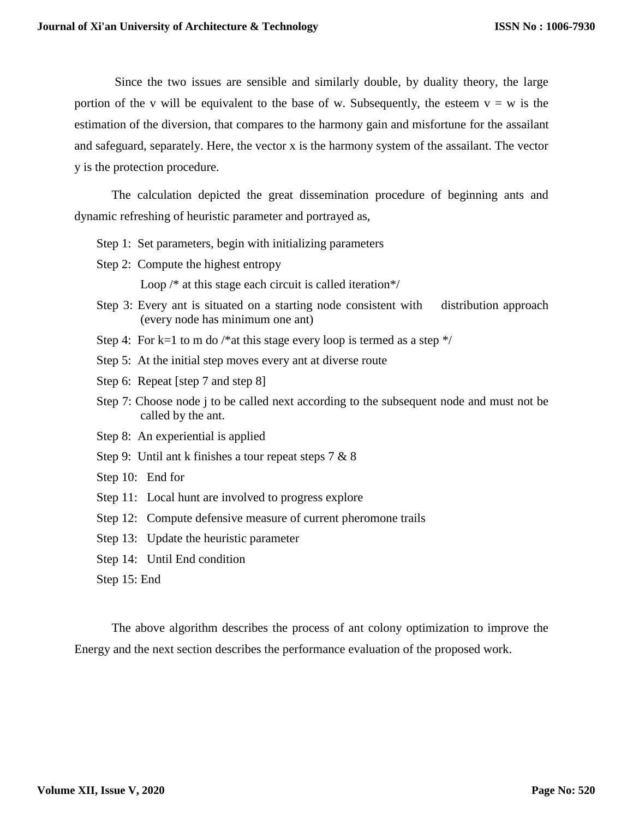Since the two issues are sensible and similarly double, by duality theory, the large portion of the v will be equivalent to the base of w. Subsequently, the esteem  $v = w$  is the estimation of the diversion, that compares to the harmony gain and misfortune for the assailant and safeguard, separately. Here, the vector x is the harmony system of the assailant. The vector y is the protection procedure.

The calculation depicted the great dissemination procedure of beginning ants and dynamic refreshing of heuristic parameter and portrayed as,

- Step 1: Set parameters, begin with initializing parameters
- Step 2: Compute the highest entropy

Loop /\* at this stage each circuit is called iteration\*/

- Step 3: Every ant is situated on a starting node consistent with distribution approach (every node has minimum one ant)
- Step 4: For k=1 to m do /\*at this stage every loop is termed as a step  $*/$
- Step 5: At the initial step moves every ant at diverse route
- Step 6: Repeat [step 7 and step 8]
- Step 7: Choose node j to be called next according to the subsequent node and must not be called by the ant.
- Step 8: An experiential is applied
- Step 9: Until ant k finishes a tour repeat steps 7 & 8
- Step 10: End for
- Step 11: Local hunt are involved to progress explore
- Step 12: Compute defensive measure of current pheromone trails
- Step 13: Update the heuristic parameter
- Step 14: Until End condition
- Step 15: End

The above algorithm describes the process of ant colony optimization to improve the Energy and the next section describes the performance evaluation of the proposed work.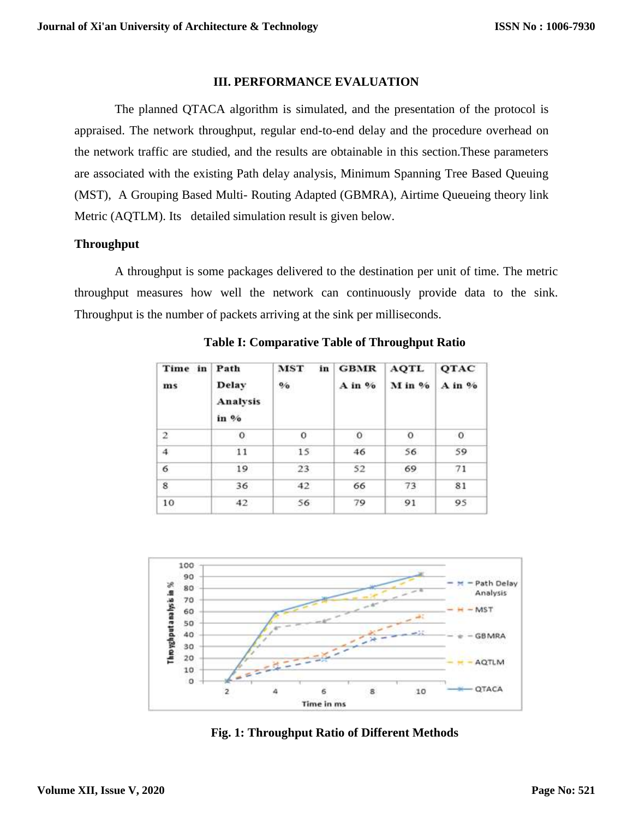### **III. PERFORMANCE EVALUATION**

The planned QTACA algorithm is simulated, and the presentation of the protocol is appraised. The network throughput, regular end-to-end delay and the procedure overhead on the network traffic are studied, and the results are obtainable in this section.These parameters are associated with the existing Path delay analysis, Minimum Spanning Tree Based Queuing (MST), A Grouping Based Multi- Routing Adapted (GBMRA), Airtime Queueing theory link Metric (AQTLM). Its detailed simulation result is given below.

## **Throughput**

A throughput is some packages delivered to the destination per unit of time. The metric throughput measures how well the network can continuously provide data to the sink. Throughput is the number of packets arriving at the sink per milliseconds.

| Time in<br>ms           | Path<br>Delay<br>Analysis<br>in % | <b>MST</b><br>in<br>$\mathbf{0}/\mathbf{0}$ | <b>GBMR</b><br>$A$ in $%$ | <b>AQTL</b><br>M in % | QTAC<br>A in % |
|-------------------------|-----------------------------------|---------------------------------------------|---------------------------|-----------------------|----------------|
| $\mathbf 2$             | $\circ$                           | $\Omega$                                    | $\circ$                   | $\circ$               | $\circ$        |
| $\overline{4}$          | 11                                | 15                                          | 46                        | 56                    | 59             |
| 6                       | 19                                | 23                                          | 52                        | 69                    | 71             |
| $\overline{\mathbf{8}}$ | 36                                | 42                                          | 66                        | 73                    | 81             |
| 10                      | 42                                | 56                                          | 79                        | 91                    | 95             |

**Table I: Comparative Table of Throughput Ratio**



**Fig. 1: Throughput Ratio of Different Methods**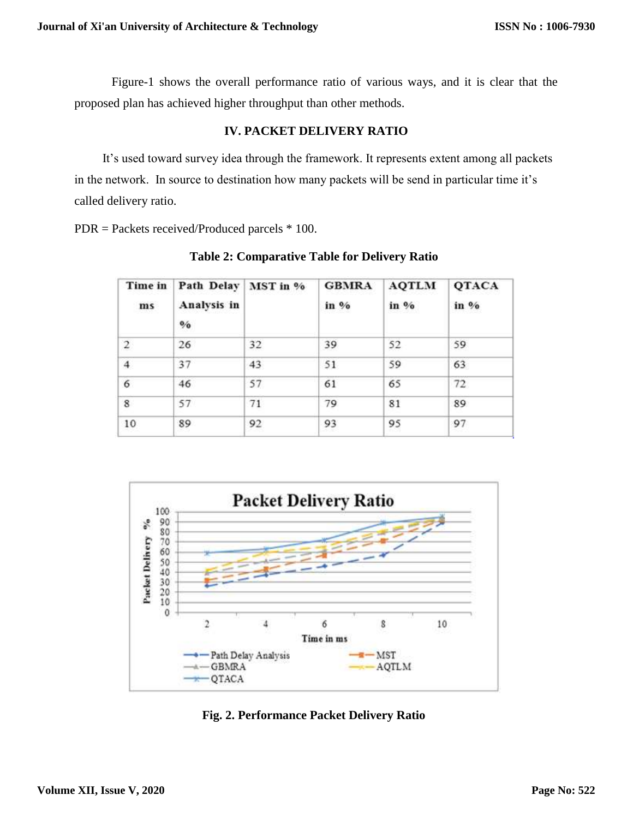Figure-1 shows the overall performance ratio of various ways, and it is clear that the proposed plan has achieved higher throughput than other methods.

# **IV. PACKET DELIVERY RATIO**

 It's used toward survey idea through the framework. It represents extent among all packets in the network. In source to destination how many packets will be send in particular time it's called delivery ratio.

PDR = Packets received/Produced parcels \* 100.

| Analysis in<br>$\mathbf{0}/\mathbf{0}$ | MST in % | <b>GBMRA</b><br>in % | <b>AQTLM</b><br>in % | QTACA<br>in % |
|----------------------------------------|----------|----------------------|----------------------|---------------|
| 26                                     | 32       | 39                   | 52                   | 59            |
| 37                                     | 43       | 51                   | 59                   | 63            |
| 46                                     | 57       | 61                   | 65                   | 72            |
| 57                                     | 71       | 79                   | 81                   | 89            |
| 89                                     | 92       | 93                   | 95                   | 97            |
|                                        |          | Path Delay           |                      |               |

**Table 2: Comparative Table for Delivery Ratio**



**Fig. 2. Performance Packet Delivery Ratio**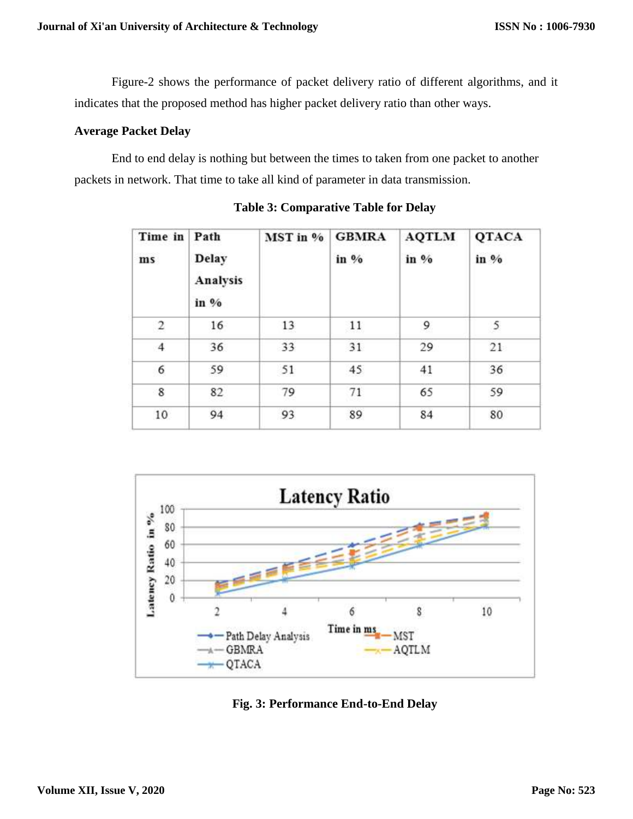Figure-2 shows the performance of packet delivery ratio of different algorithms, and it indicates that the proposed method has higher packet delivery ratio than other ways.

# **Average Packet Delay**

End to end delay is nothing but between the times to taken from one packet to another packets in network. That time to take all kind of parameter in data transmission.

| Time in<br>ms | Path<br><b>Delay</b><br>Analysis<br>in % | MST in % | <b>GBMRA</b><br>in % | <b>AQTLM</b><br>in % | QTACA<br>in % |
|---------------|------------------------------------------|----------|----------------------|----------------------|---------------|
| 2             | 16                                       | 13       | 11                   | 9                    | 5             |
| 4             | 36                                       | 33       | 31                   | 29                   | 21            |
| 6             | 59                                       | 51       | 45                   | 41                   | 36            |
| 8             | 82                                       | 79       | 71                   | 65                   | 59            |
| 10            | 94                                       | 93       | 89                   | 84                   | 80            |

**Table 3: Comparative Table for Delay**



**Fig. 3: Performance End-to-End Delay**